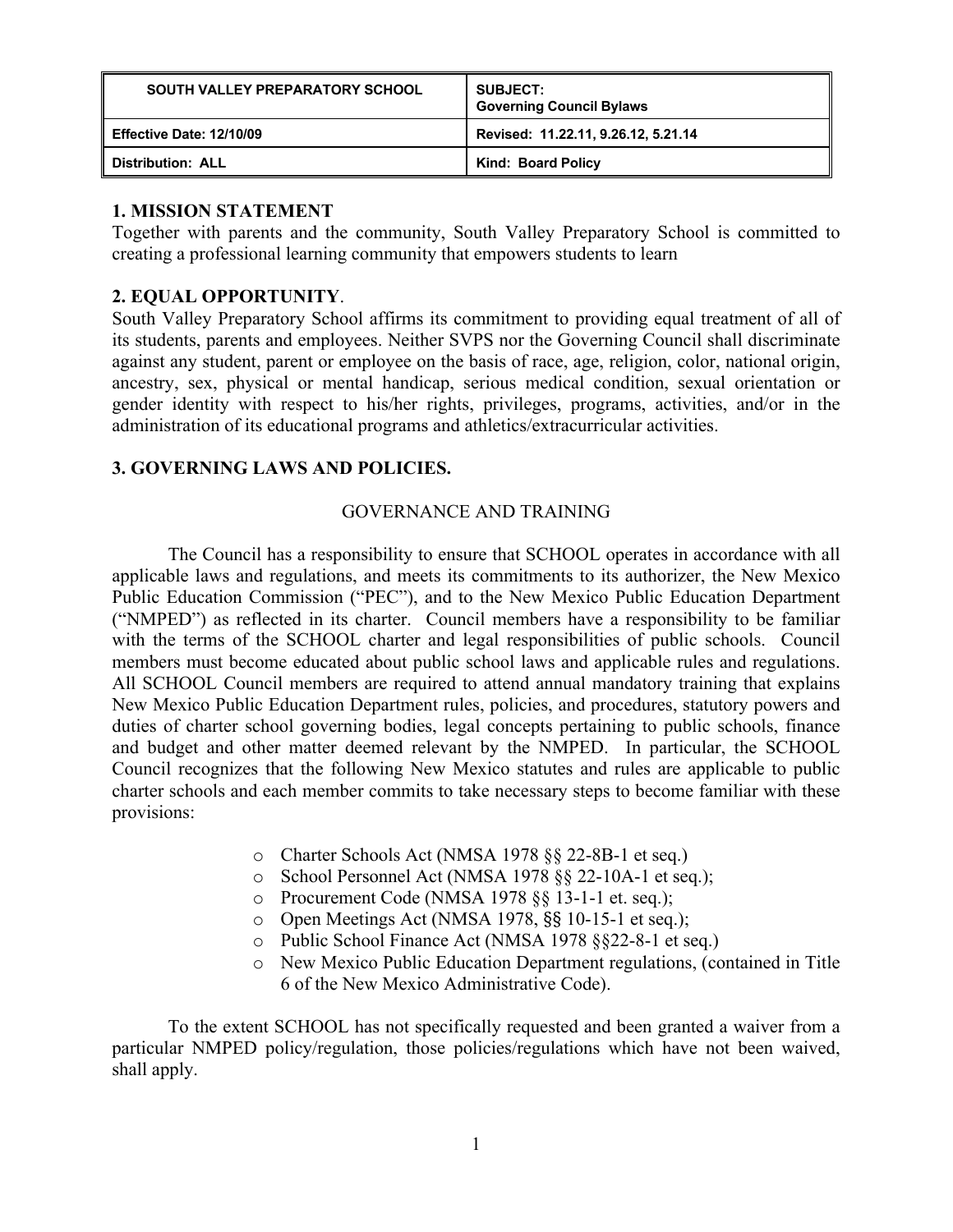| <b>SOUTH VALLEY PREPARATORY SCHOOL</b> | <b>SUBJECT:</b><br><b>Governing Council Bylaws</b> |
|----------------------------------------|----------------------------------------------------|
| Effective Date: 12/10/09               | Revised: 11.22.11, 9.26.12, 5.21.14                |
| <b>Distribution: ALL</b>               | Kind: Board Policy                                 |

## **1. MISSION STATEMENT**

Together with parents and the community, South Valley Preparatory School is committed to creating a professional learning community that empowers students to learn

## **2. EQUAL OPPORTUNITY**.

South Valley Preparatory School affirms its commitment to providing equal treatment of all of its students, parents and employees. Neither SVPS nor the Governing Council shall discriminate against any student, parent or employee on the basis of race, age, religion, color, national origin, ancestry, sex, physical or mental handicap, serious medical condition, sexual orientation or gender identity with respect to his/her rights, privileges, programs, activities, and/or in the administration of its educational programs and athletics/extracurricular activities.

### **3. GOVERNING LAWS AND POLICIES.**

### GOVERNANCE AND TRAINING

The Council has a responsibility to ensure that SCHOOL operates in accordance with all applicable laws and regulations, and meets its commitments to its authorizer, the New Mexico Public Education Commission ("PEC"), and to the New Mexico Public Education Department ("NMPED") as reflected in its charter. Council members have a responsibility to be familiar with the terms of the SCHOOL charter and legal responsibilities of public schools. Council members must become educated about public school laws and applicable rules and regulations. All SCHOOL Council members are required to attend annual mandatory training that explains New Mexico Public Education Department rules, policies, and procedures, statutory powers and duties of charter school governing bodies, legal concepts pertaining to public schools, finance and budget and other matter deemed relevant by the NMPED. In particular, the SCHOOL Council recognizes that the following New Mexico statutes and rules are applicable to public charter schools and each member commits to take necessary steps to become familiar with these provisions:

- o Charter Schools Act (NMSA 1978 §§ 22-8B-1 et seq.)
- o School Personnel Act (NMSA 1978 §§ 22-10A-1 et seq.);
- o Procurement Code (NMSA 1978 §§ 13-1-1 et. seq.);
- o Open Meetings Act (NMSA 1978, §§ 10-15-1 et seq.);
- o Public School Finance Act (NMSA 1978 §§22-8-1 et seq.)
- o New Mexico Public Education Department regulations, (contained in Title 6 of the New Mexico Administrative Code).

To the extent SCHOOL has not specifically requested and been granted a waiver from a particular NMPED policy/regulation, those policies/regulations which have not been waived, shall apply.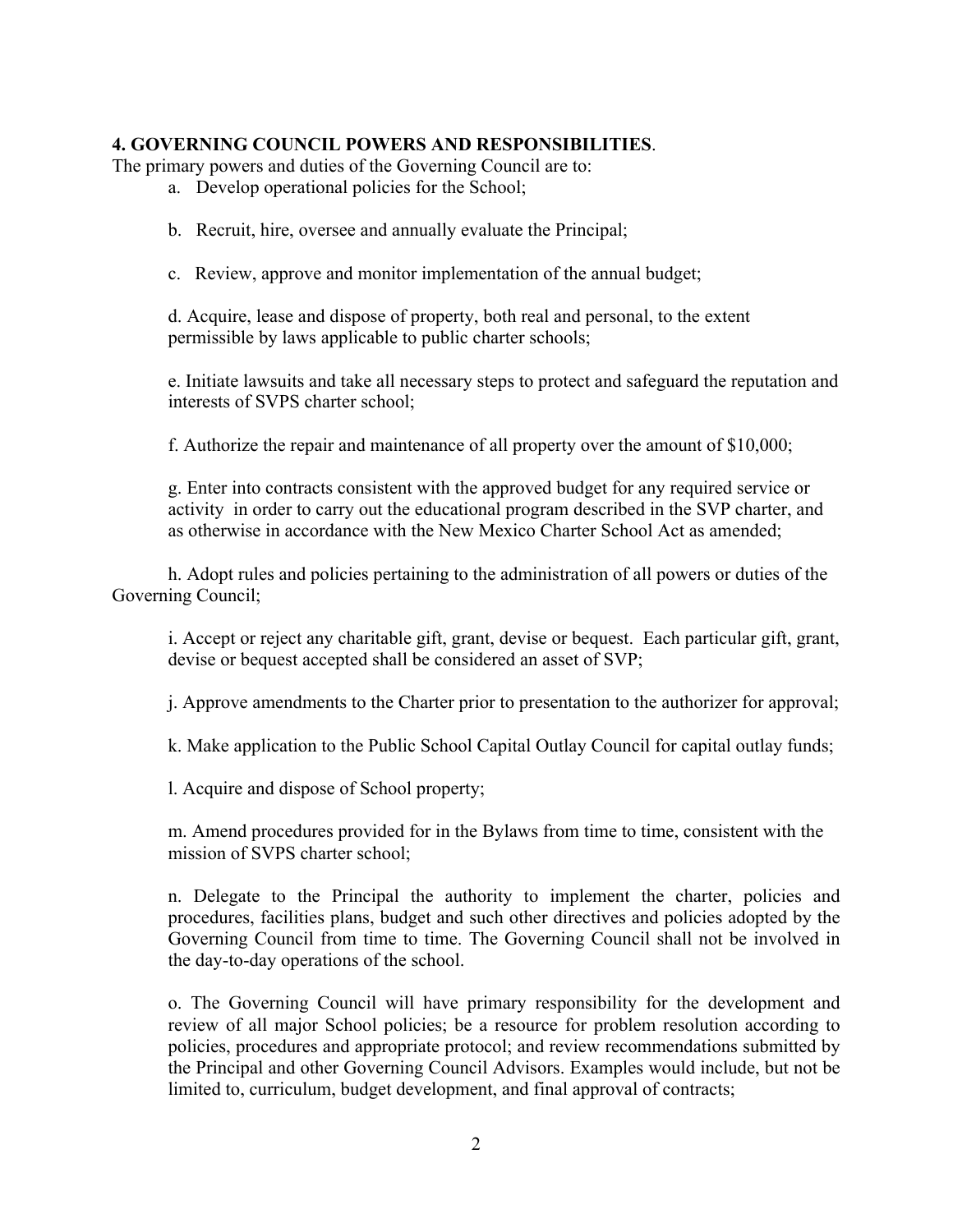### **4. GOVERNING COUNCIL POWERS AND RESPONSIBILITIES**.

The primary powers and duties of the Governing Council are to:

- a. Develop operational policies for the School;
- b. Recruit, hire, oversee and annually evaluate the Principal;
- c. Review, approve and monitor implementation of the annual budget;

d. Acquire, lease and dispose of property, both real and personal, to the extent permissible by laws applicable to public charter schools;

e. Initiate lawsuits and take all necessary steps to protect and safeguard the reputation and interests of SVPS charter school;

f. Authorize the repair and maintenance of all property over the amount of \$10,000;

g. Enter into contracts consistent with the approved budget for any required service or activity in order to carry out the educational program described in the SVP charter, and as otherwise in accordance with the New Mexico Charter School Act as amended;

h. Adopt rules and policies pertaining to the administration of all powers or duties of the Governing Council;

i. Accept or reject any charitable gift, grant, devise or bequest. Each particular gift, grant, devise or bequest accepted shall be considered an asset of SVP;

j. Approve amendments to the Charter prior to presentation to the authorizer for approval;

k. Make application to the Public School Capital Outlay Council for capital outlay funds;

l. Acquire and dispose of School property;

m. Amend procedures provided for in the Bylaws from time to time, consistent with the mission of SVPS charter school;

n. Delegate to the Principal the authority to implement the charter, policies and procedures, facilities plans, budget and such other directives and policies adopted by the Governing Council from time to time. The Governing Council shall not be involved in the day-to-day operations of the school.

o. The Governing Council will have primary responsibility for the development and review of all major School policies; be a resource for problem resolution according to policies, procedures and appropriate protocol; and review recommendations submitted by the Principal and other Governing Council Advisors. Examples would include, but not be limited to, curriculum, budget development, and final approval of contracts;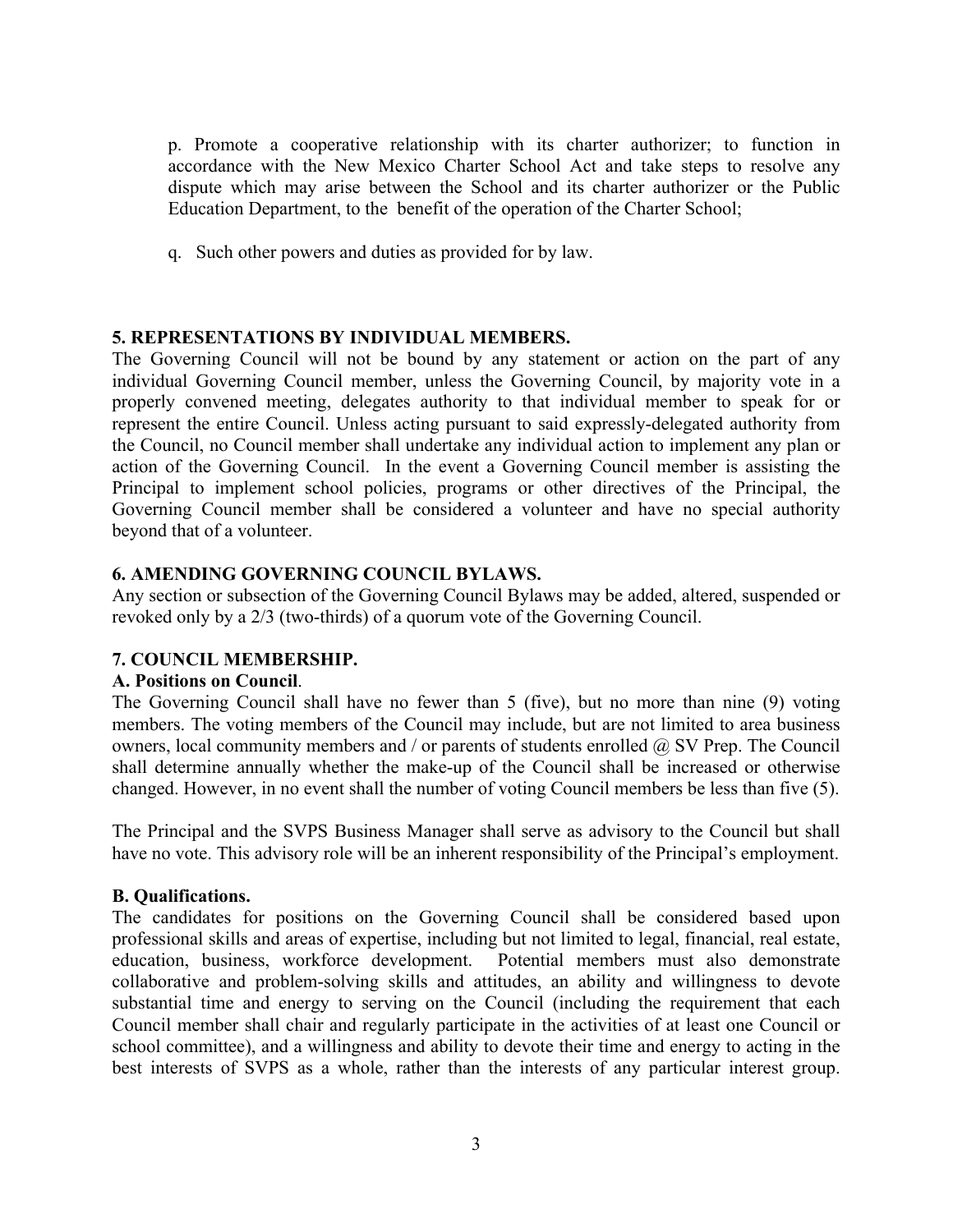p. Promote a cooperative relationship with its charter authorizer; to function in accordance with the New Mexico Charter School Act and take steps to resolve any dispute which may arise between the School and its charter authorizer or the Public Education Department, to the benefit of the operation of the Charter School;

q. Such other powers and duties as provided for by law.

### **5. REPRESENTATIONS BY INDIVIDUAL MEMBERS.**

The Governing Council will not be bound by any statement or action on the part of any individual Governing Council member, unless the Governing Council, by majority vote in a properly convened meeting, delegates authority to that individual member to speak for or represent the entire Council. Unless acting pursuant to said expressly-delegated authority from the Council, no Council member shall undertake any individual action to implement any plan or action of the Governing Council. In the event a Governing Council member is assisting the Principal to implement school policies, programs or other directives of the Principal, the Governing Council member shall be considered a volunteer and have no special authority beyond that of a volunteer.

### **6. AMENDING GOVERNING COUNCIL BYLAWS.**

Any section or subsection of the Governing Council Bylaws may be added, altered, suspended or revoked only by a 2/3 (two-thirds) of a quorum vote of the Governing Council.

#### **7. COUNCIL MEMBERSHIP.**

#### **A. Positions on Council**.

The Governing Council shall have no fewer than 5 (five), but no more than nine (9) voting members. The voting members of the Council may include, but are not limited to area business owners, local community members and / or parents of students enrolled @ SV Prep. The Council shall determine annually whether the make-up of the Council shall be increased or otherwise changed. However, in no event shall the number of voting Council members be less than five (5).

The Principal and the SVPS Business Manager shall serve as advisory to the Council but shall have no vote. This advisory role will be an inherent responsibility of the Principal's employment.

#### **B. Qualifications.**

The candidates for positions on the Governing Council shall be considered based upon professional skills and areas of expertise, including but not limited to legal, financial, real estate, education, business, workforce development. Potential members must also demonstrate collaborative and problem-solving skills and attitudes, an ability and willingness to devote substantial time and energy to serving on the Council (including the requirement that each Council member shall chair and regularly participate in the activities of at least one Council or school committee), and a willingness and ability to devote their time and energy to acting in the best interests of SVPS as a whole, rather than the interests of any particular interest group.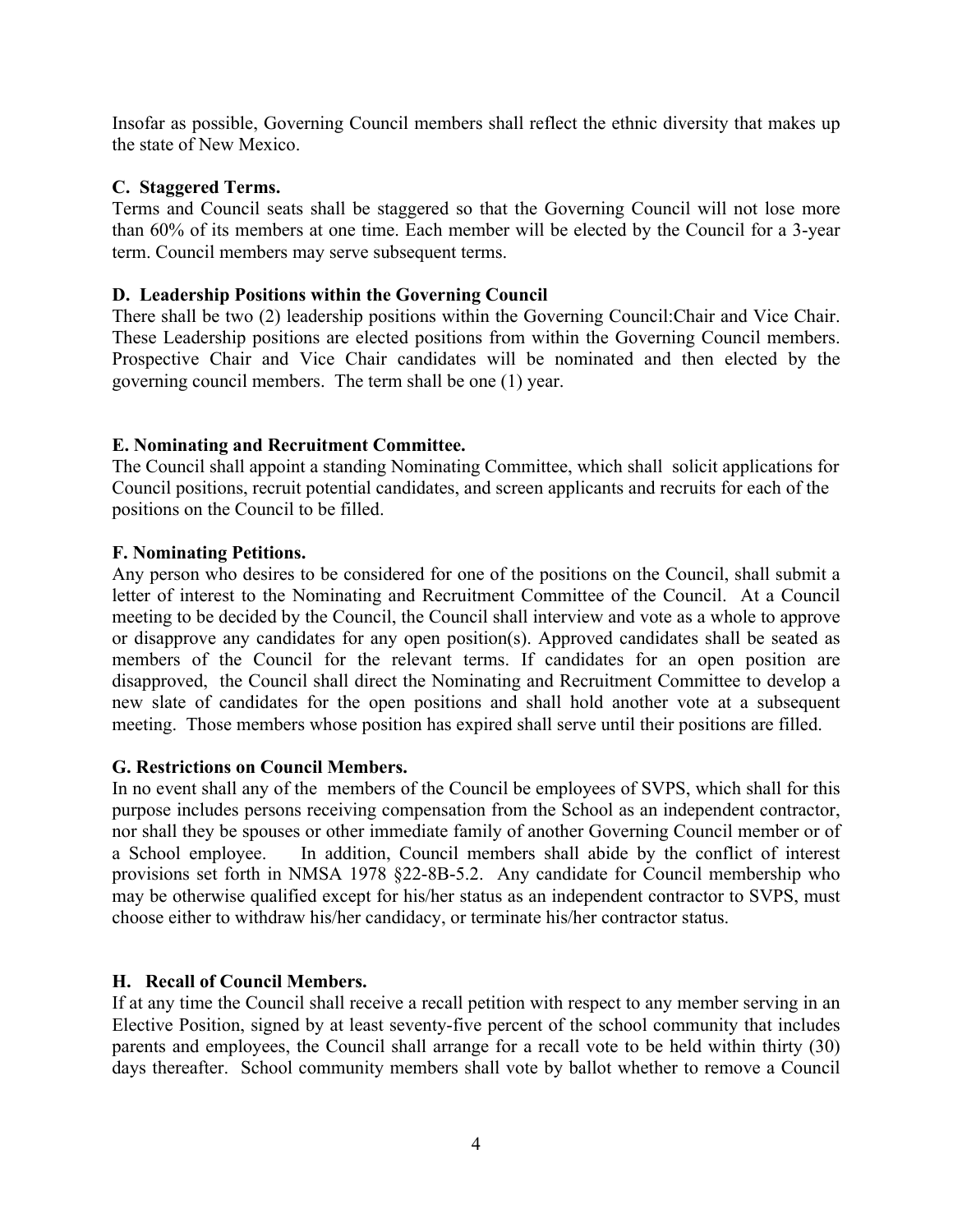Insofar as possible, Governing Council members shall reflect the ethnic diversity that makes up the state of New Mexico.

### **C. Staggered Terms.**

Terms and Council seats shall be staggered so that the Governing Council will not lose more than 60% of its members at one time. Each member will be elected by the Council for a 3-year term. Council members may serve subsequent terms.

### **D. Leadership Positions within the Governing Council**

There shall be two (2) leadership positions within the Governing Council:Chair and Vice Chair. These Leadership positions are elected positions from within the Governing Council members. Prospective Chair and Vice Chair candidates will be nominated and then elected by the governing council members. The term shall be one (1) year.

## **E. Nominating and Recruitment Committee.**

The Council shall appoint a standing Nominating Committee, which shall solicit applications for Council positions, recruit potential candidates, and screen applicants and recruits for each of the positions on the Council to be filled.

### **F. Nominating Petitions.**

Any person who desires to be considered for one of the positions on the Council, shall submit a letter of interest to the Nominating and Recruitment Committee of the Council. At a Council meeting to be decided by the Council, the Council shall interview and vote as a whole to approve or disapprove any candidates for any open position(s). Approved candidates shall be seated as members of the Council for the relevant terms. If candidates for an open position are disapproved, the Council shall direct the Nominating and Recruitment Committee to develop a new slate of candidates for the open positions and shall hold another vote at a subsequent meeting. Those members whose position has expired shall serve until their positions are filled.

#### **G. Restrictions on Council Members.**

In no event shall any of the members of the Council be employees of SVPS, which shall for this purpose includes persons receiving compensation from the School as an independent contractor, nor shall they be spouses or other immediate family of another Governing Council member or of a School employee. In addition, Council members shall abide by the conflict of interest provisions set forth in NMSA 1978 §22-8B-5.2. Any candidate for Council membership who may be otherwise qualified except for his/her status as an independent contractor to SVPS, must choose either to withdraw his/her candidacy, or terminate his/her contractor status.

#### **H. Recall of Council Members.**

If at any time the Council shall receive a recall petition with respect to any member serving in an Elective Position, signed by at least seventy-five percent of the school community that includes parents and employees, the Council shall arrange for a recall vote to be held within thirty (30) days thereafter. School community members shall vote by ballot whether to remove a Council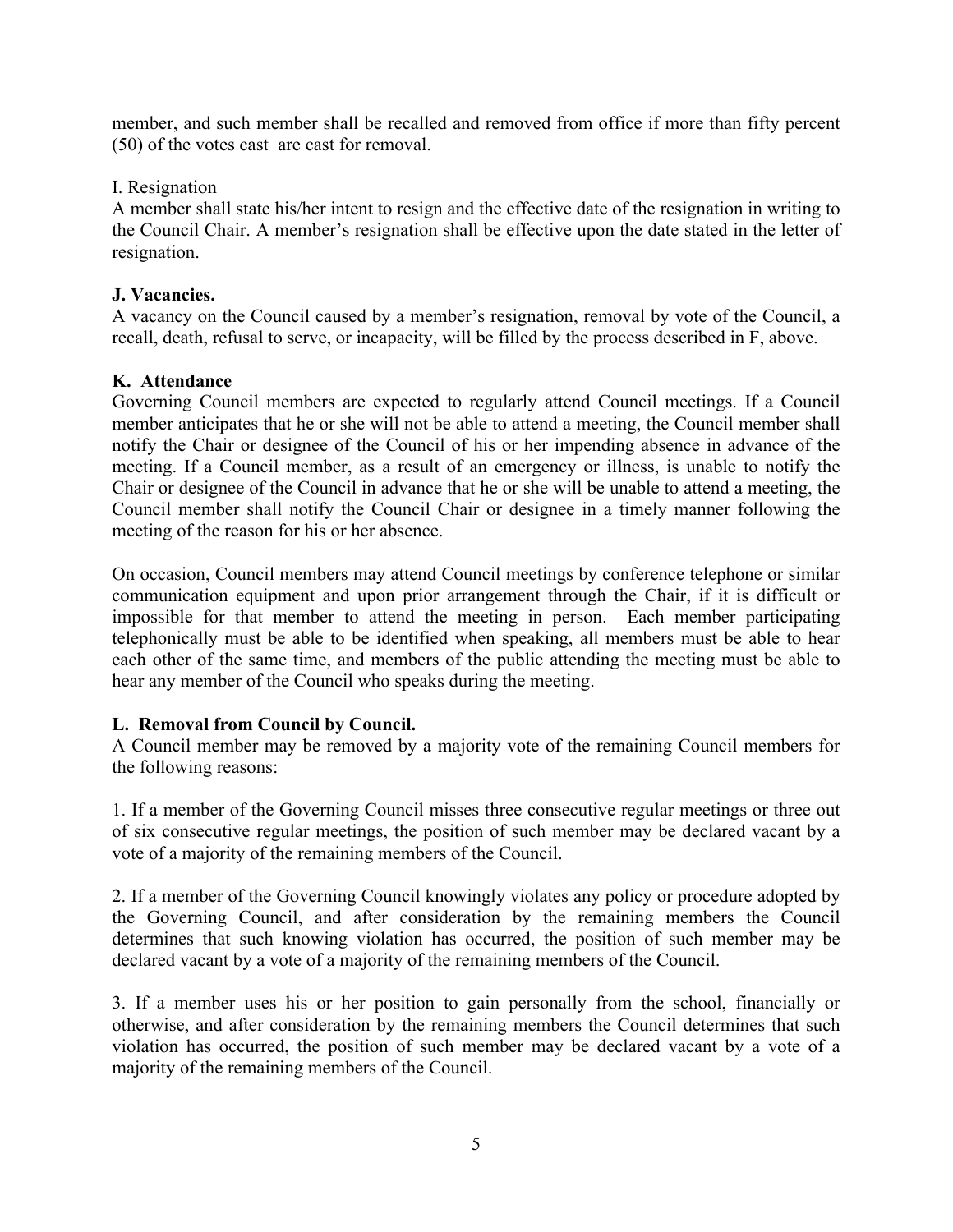member, and such member shall be recalled and removed from office if more than fifty percent (50) of the votes cast are cast for removal.

### I. Resignation

A member shall state his/her intent to resign and the effective date of the resignation in writing to the Council Chair. A member's resignation shall be effective upon the date stated in the letter of resignation.

### **J. Vacancies.**

A vacancy on the Council caused by a member's resignation, removal by vote of the Council, a recall, death, refusal to serve, or incapacity, will be filled by the process described in F, above.

### **K. Attendance**

Governing Council members are expected to regularly attend Council meetings. If a Council member anticipates that he or she will not be able to attend a meeting, the Council member shall notify the Chair or designee of the Council of his or her impending absence in advance of the meeting. If a Council member, as a result of an emergency or illness, is unable to notify the Chair or designee of the Council in advance that he or she will be unable to attend a meeting, the Council member shall notify the Council Chair or designee in a timely manner following the meeting of the reason for his or her absence.

On occasion, Council members may attend Council meetings by conference telephone or similar communication equipment and upon prior arrangement through the Chair, if it is difficult or impossible for that member to attend the meeting in person. Each member participating telephonically must be able to be identified when speaking, all members must be able to hear each other of the same time, and members of the public attending the meeting must be able to hear any member of the Council who speaks during the meeting.

## **L. Removal from Council by Council.**

A Council member may be removed by a majority vote of the remaining Council members for the following reasons:

1. If a member of the Governing Council misses three consecutive regular meetings or three out of six consecutive regular meetings, the position of such member may be declared vacant by a vote of a majority of the remaining members of the Council.

2. If a member of the Governing Council knowingly violates any policy or procedure adopted by the Governing Council, and after consideration by the remaining members the Council determines that such knowing violation has occurred, the position of such member may be declared vacant by a vote of a majority of the remaining members of the Council.

3. If a member uses his or her position to gain personally from the school, financially or otherwise, and after consideration by the remaining members the Council determines that such violation has occurred, the position of such member may be declared vacant by a vote of a majority of the remaining members of the Council.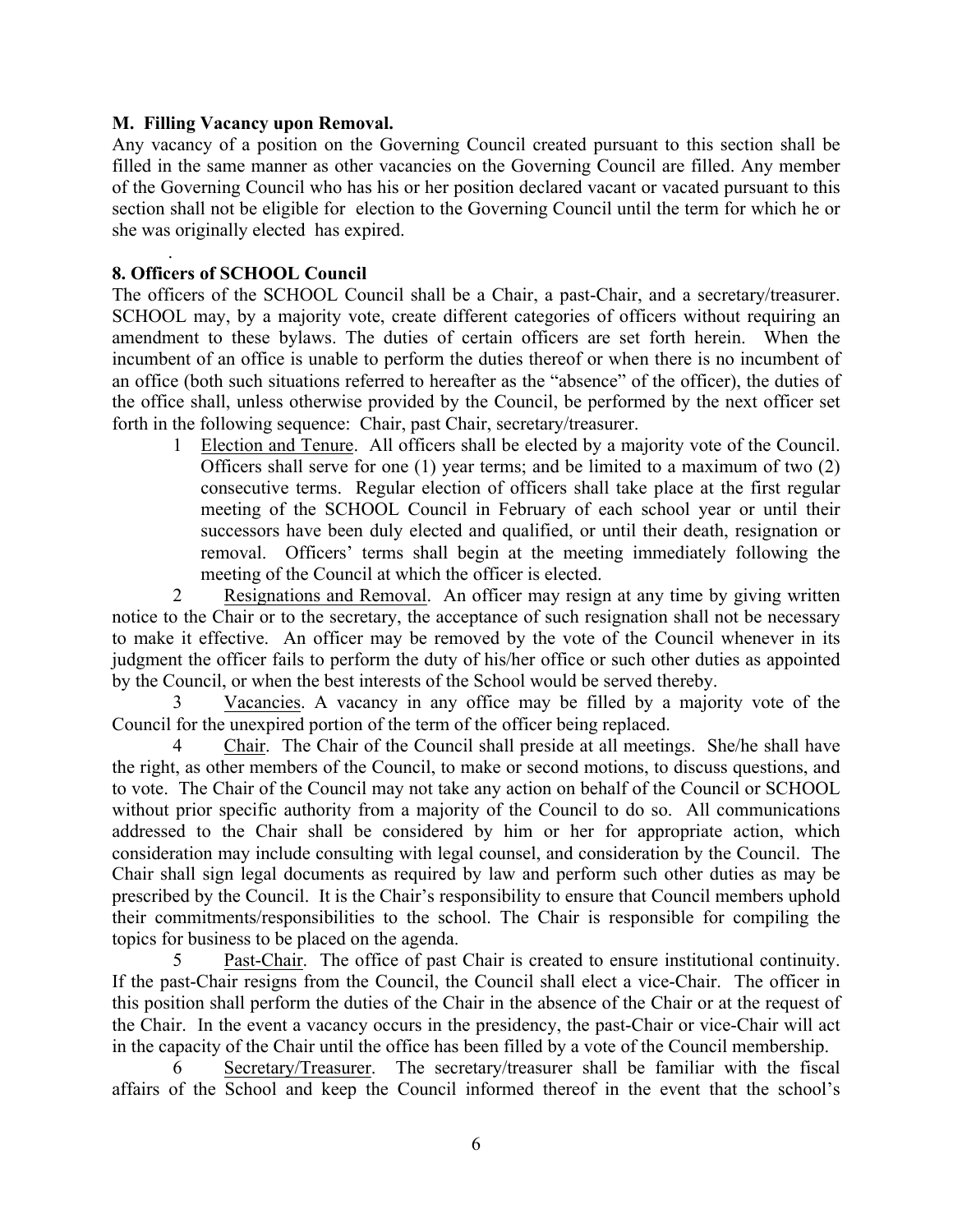### **M. Filling Vacancy upon Removal.**

Any vacancy of a position on the Governing Council created pursuant to this section shall be filled in the same manner as other vacancies on the Governing Council are filled. Any member of the Governing Council who has his or her position declared vacant or vacated pursuant to this section shall not be eligible for election to the Governing Council until the term for which he or she was originally elected has expired.

#### . **8. Officers of SCHOOL Council**

The officers of the SCHOOL Council shall be a Chair, a past-Chair, and a secretary/treasurer. SCHOOL may, by a majority vote, create different categories of officers without requiring an amendment to these bylaws. The duties of certain officers are set forth herein. When the incumbent of an office is unable to perform the duties thereof or when there is no incumbent of an office (both such situations referred to hereafter as the "absence" of the officer), the duties of the office shall, unless otherwise provided by the Council, be performed by the next officer set forth in the following sequence: Chair, past Chair, secretary/treasurer.

1 Election and Tenure. All officers shall be elected by a majority vote of the Council. Officers shall serve for one (1) year terms; and be limited to a maximum of two (2) consecutive terms. Regular election of officers shall take place at the first regular meeting of the SCHOOL Council in February of each school year or until their successors have been duly elected and qualified, or until their death, resignation or removal. Officers' terms shall begin at the meeting immediately following the meeting of the Council at which the officer is elected.

2 Resignations and Removal. An officer may resign at any time by giving written notice to the Chair or to the secretary, the acceptance of such resignation shall not be necessary to make it effective. An officer may be removed by the vote of the Council whenever in its judgment the officer fails to perform the duty of his/her office or such other duties as appointed by the Council, or when the best interests of the School would be served thereby.

Vacancies. A vacancy in any office may be filled by a majority vote of the Council for the unexpired portion of the term of the officer being replaced.

4 Chair. The Chair of the Council shall preside at all meetings. She/he shall have the right, as other members of the Council, to make or second motions, to discuss questions, and to vote. The Chair of the Council may not take any action on behalf of the Council or SCHOOL without prior specific authority from a majority of the Council to do so. All communications addressed to the Chair shall be considered by him or her for appropriate action, which consideration may include consulting with legal counsel, and consideration by the Council. The Chair shall sign legal documents as required by law and perform such other duties as may be prescribed by the Council. It is the Chair's responsibility to ensure that Council members uphold their commitments/responsibilities to the school. The Chair is responsible for compiling the topics for business to be placed on the agenda.

5 Past-Chair. The office of past Chair is created to ensure institutional continuity. If the past-Chair resigns from the Council, the Council shall elect a vice-Chair. The officer in this position shall perform the duties of the Chair in the absence of the Chair or at the request of the Chair. In the event a vacancy occurs in the presidency, the past-Chair or vice-Chair will act in the capacity of the Chair until the office has been filled by a vote of the Council membership.

6 Secretary/Treasurer. The secretary/treasurer shall be familiar with the fiscal affairs of the School and keep the Council informed thereof in the event that the school's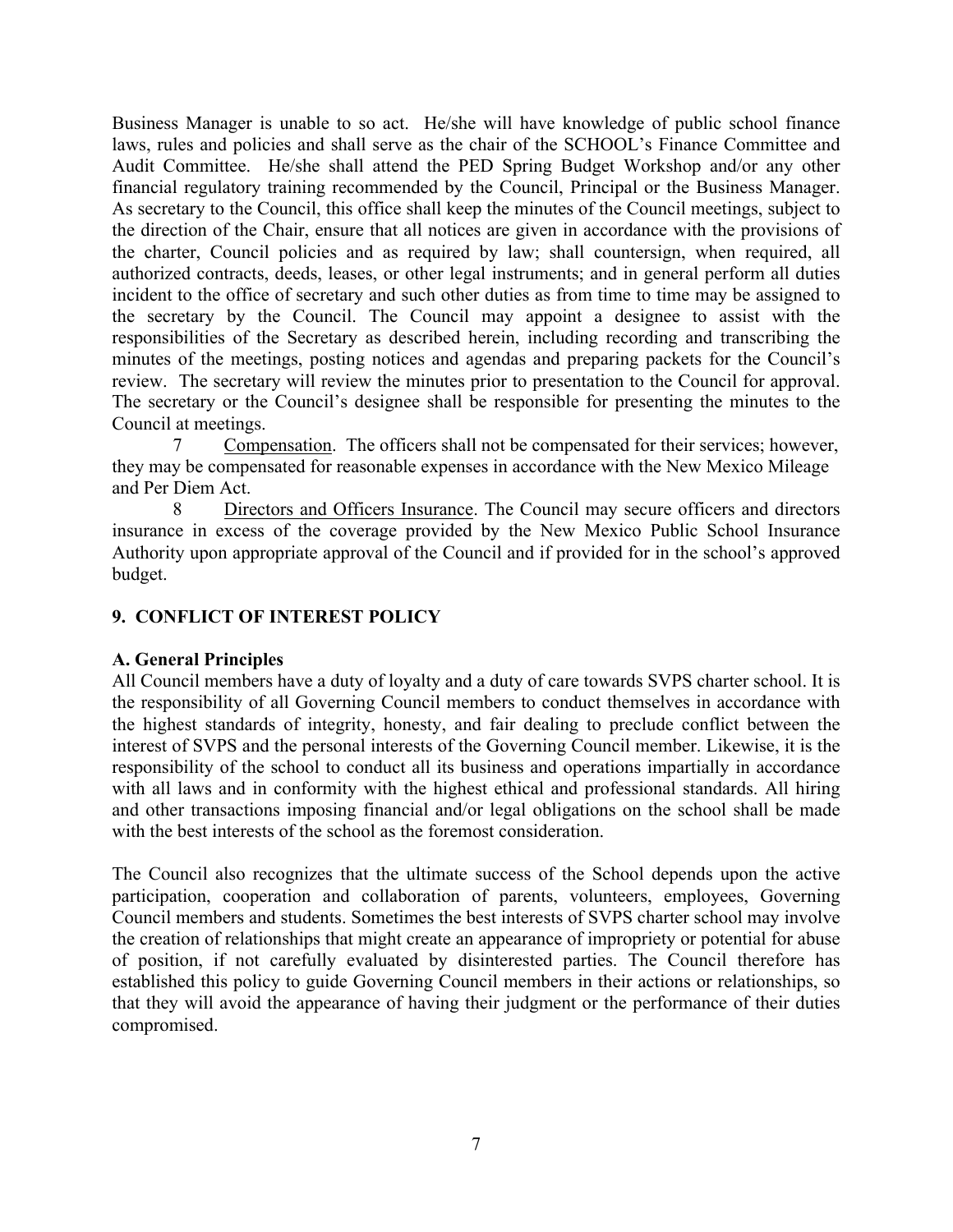Business Manager is unable to so act. He/she will have knowledge of public school finance laws, rules and policies and shall serve as the chair of the SCHOOL's Finance Committee and Audit Committee. He/she shall attend the PED Spring Budget Workshop and/or any other financial regulatory training recommended by the Council, Principal or the Business Manager. As secretary to the Council, this office shall keep the minutes of the Council meetings, subject to the direction of the Chair, ensure that all notices are given in accordance with the provisions of the charter, Council policies and as required by law; shall countersign, when required, all authorized contracts, deeds, leases, or other legal instruments; and in general perform all duties incident to the office of secretary and such other duties as from time to time may be assigned to the secretary by the Council. The Council may appoint a designee to assist with the responsibilities of the Secretary as described herein, including recording and transcribing the minutes of the meetings, posting notices and agendas and preparing packets for the Council's review. The secretary will review the minutes prior to presentation to the Council for approval. The secretary or the Council's designee shall be responsible for presenting the minutes to the Council at meetings.

7 Compensation. The officers shall not be compensated for their services; however, they may be compensated for reasonable expenses in accordance with the New Mexico Mileage and Per Diem Act.

8 Directors and Officers Insurance. The Council may secure officers and directors insurance in excess of the coverage provided by the New Mexico Public School Insurance Authority upon appropriate approval of the Council and if provided for in the school's approved budget.

# **9. CONFLICT OF INTEREST POLICY**

## **A. General Principles**

All Council members have a duty of loyalty and a duty of care towards SVPS charter school. It is the responsibility of all Governing Council members to conduct themselves in accordance with the highest standards of integrity, honesty, and fair dealing to preclude conflict between the interest of SVPS and the personal interests of the Governing Council member. Likewise, it is the responsibility of the school to conduct all its business and operations impartially in accordance with all laws and in conformity with the highest ethical and professional standards. All hiring and other transactions imposing financial and/or legal obligations on the school shall be made with the best interests of the school as the foremost consideration.

The Council also recognizes that the ultimate success of the School depends upon the active participation, cooperation and collaboration of parents, volunteers, employees, Governing Council members and students. Sometimes the best interests of SVPS charter school may involve the creation of relationships that might create an appearance of impropriety or potential for abuse of position, if not carefully evaluated by disinterested parties. The Council therefore has established this policy to guide Governing Council members in their actions or relationships, so that they will avoid the appearance of having their judgment or the performance of their duties compromised.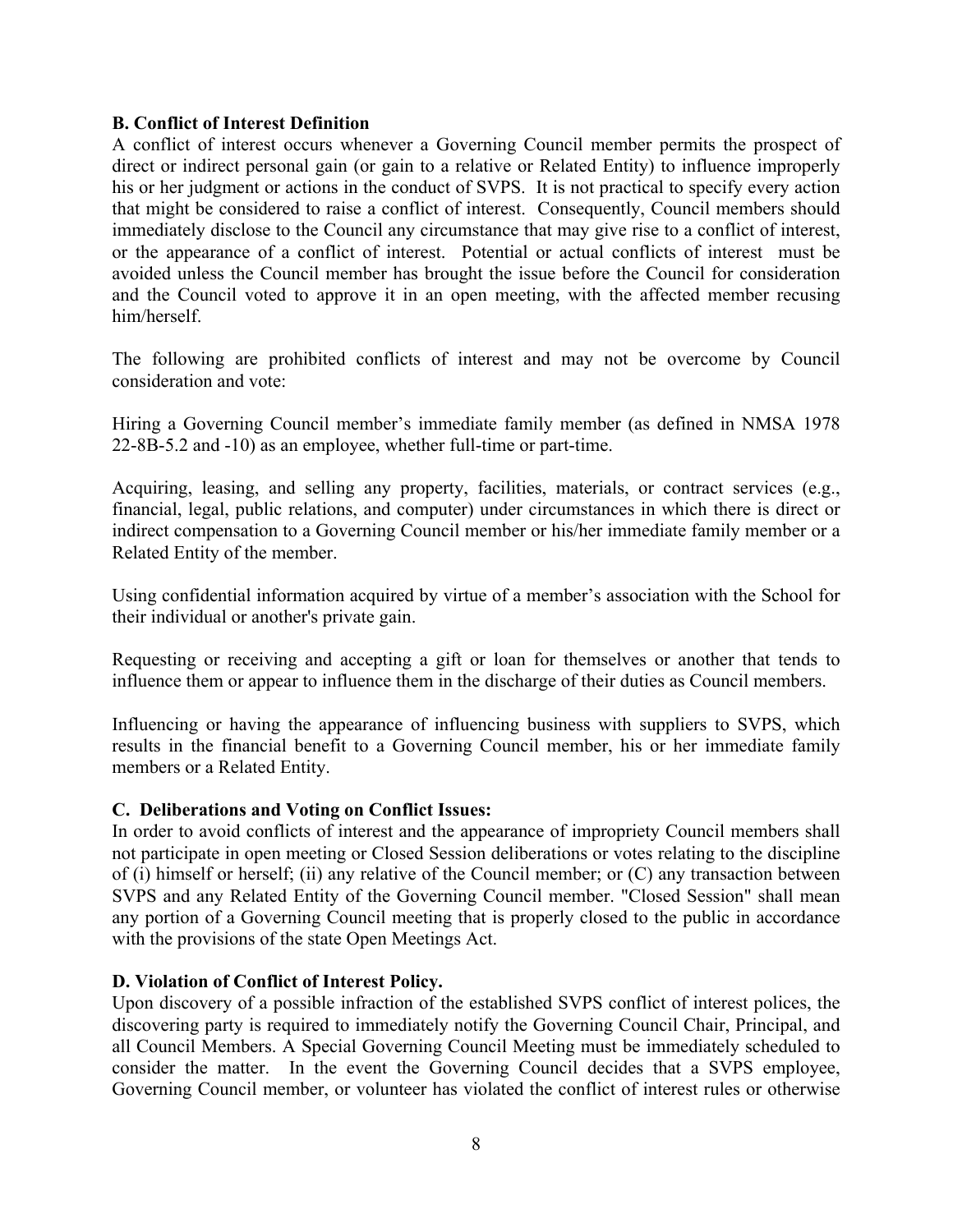### **B. Conflict of Interest Definition**

A conflict of interest occurs whenever a Governing Council member permits the prospect of direct or indirect personal gain (or gain to a relative or Related Entity) to influence improperly his or her judgment or actions in the conduct of SVPS. It is not practical to specify every action that might be considered to raise a conflict of interest. Consequently, Council members should immediately disclose to the Council any circumstance that may give rise to a conflict of interest, or the appearance of a conflict of interest. Potential or actual conflicts of interest must be avoided unless the Council member has brought the issue before the Council for consideration and the Council voted to approve it in an open meeting, with the affected member recusing him/herself.

The following are prohibited conflicts of interest and may not be overcome by Council consideration and vote:

Hiring a Governing Council member's immediate family member (as defined in NMSA 1978 22-8B-5.2 and -10) as an employee, whether full-time or part-time.

Acquiring, leasing, and selling any property, facilities, materials, or contract services (e.g., financial, legal, public relations, and computer) under circumstances in which there is direct or indirect compensation to a Governing Council member or his/her immediate family member or a Related Entity of the member.

Using confidential information acquired by virtue of a member's association with the School for their individual or another's private gain.

Requesting or receiving and accepting a gift or loan for themselves or another that tends to influence them or appear to influence them in the discharge of their duties as Council members.

Influencing or having the appearance of influencing business with suppliers to SVPS, which results in the financial benefit to a Governing Council member, his or her immediate family members or a Related Entity.

#### **C. Deliberations and Voting on Conflict Issues:**

In order to avoid conflicts of interest and the appearance of impropriety Council members shall not participate in open meeting or Closed Session deliberations or votes relating to the discipline of (i) himself or herself; (ii) any relative of the Council member; or (C) any transaction between SVPS and any Related Entity of the Governing Council member. "Closed Session" shall mean any portion of a Governing Council meeting that is properly closed to the public in accordance with the provisions of the state Open Meetings Act.

#### **D. Violation of Conflict of Interest Policy.**

Upon discovery of a possible infraction of the established SVPS conflict of interest polices, the discovering party is required to immediately notify the Governing Council Chair, Principal, and all Council Members. A Special Governing Council Meeting must be immediately scheduled to consider the matter. In the event the Governing Council decides that a SVPS employee, Governing Council member, or volunteer has violated the conflict of interest rules or otherwise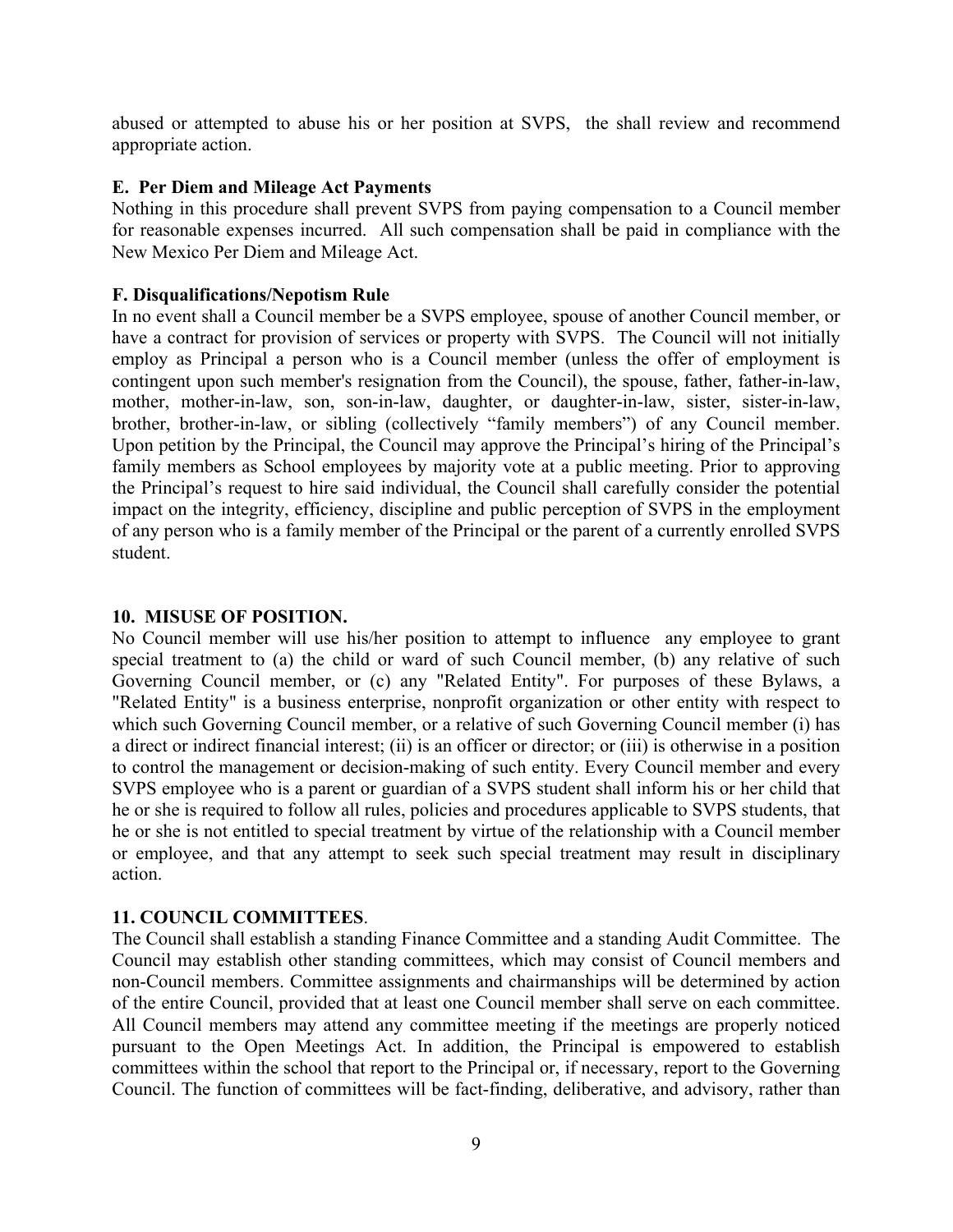abused or attempted to abuse his or her position at SVPS, the shall review and recommend appropriate action.

#### **E. Per Diem and Mileage Act Payments**

Nothing in this procedure shall prevent SVPS from paying compensation to a Council member for reasonable expenses incurred. All such compensation shall be paid in compliance with the New Mexico Per Diem and Mileage Act.

### **F. Disqualifications/Nepotism Rule**

In no event shall a Council member be a SVPS employee, spouse of another Council member, or have a contract for provision of services or property with SVPS. The Council will not initially employ as Principal a person who is a Council member (unless the offer of employment is contingent upon such member's resignation from the Council), the spouse, father, father-in-law, mother, mother-in-law, son, son-in-law, daughter, or daughter-in-law, sister, sister-in-law, brother, brother-in-law, or sibling (collectively "family members") of any Council member. Upon petition by the Principal, the Council may approve the Principal's hiring of the Principal's family members as School employees by majority vote at a public meeting. Prior to approving the Principal's request to hire said individual, the Council shall carefully consider the potential impact on the integrity, efficiency, discipline and public perception of SVPS in the employment of any person who is a family member of the Principal or the parent of a currently enrolled SVPS student.

### **10. MISUSE OF POSITION.**

No Council member will use his/her position to attempt to influence any employee to grant special treatment to (a) the child or ward of such Council member, (b) any relative of such Governing Council member, or (c) any "Related Entity". For purposes of these Bylaws, a "Related Entity" is a business enterprise, nonprofit organization or other entity with respect to which such Governing Council member, or a relative of such Governing Council member (i) has a direct or indirect financial interest; (ii) is an officer or director; or (iii) is otherwise in a position to control the management or decision-making of such entity. Every Council member and every SVPS employee who is a parent or guardian of a SVPS student shall inform his or her child that he or she is required to follow all rules, policies and procedures applicable to SVPS students, that he or she is not entitled to special treatment by virtue of the relationship with a Council member or employee, and that any attempt to seek such special treatment may result in disciplinary action.

## **11. COUNCIL COMMITTEES**.

The Council shall establish a standing Finance Committee and a standing Audit Committee. The Council may establish other standing committees, which may consist of Council members and non-Council members. Committee assignments and chairmanships will be determined by action of the entire Council, provided that at least one Council member shall serve on each committee. All Council members may attend any committee meeting if the meetings are properly noticed pursuant to the Open Meetings Act. In addition, the Principal is empowered to establish committees within the school that report to the Principal or, if necessary, report to the Governing Council. The function of committees will be fact-finding, deliberative, and advisory, rather than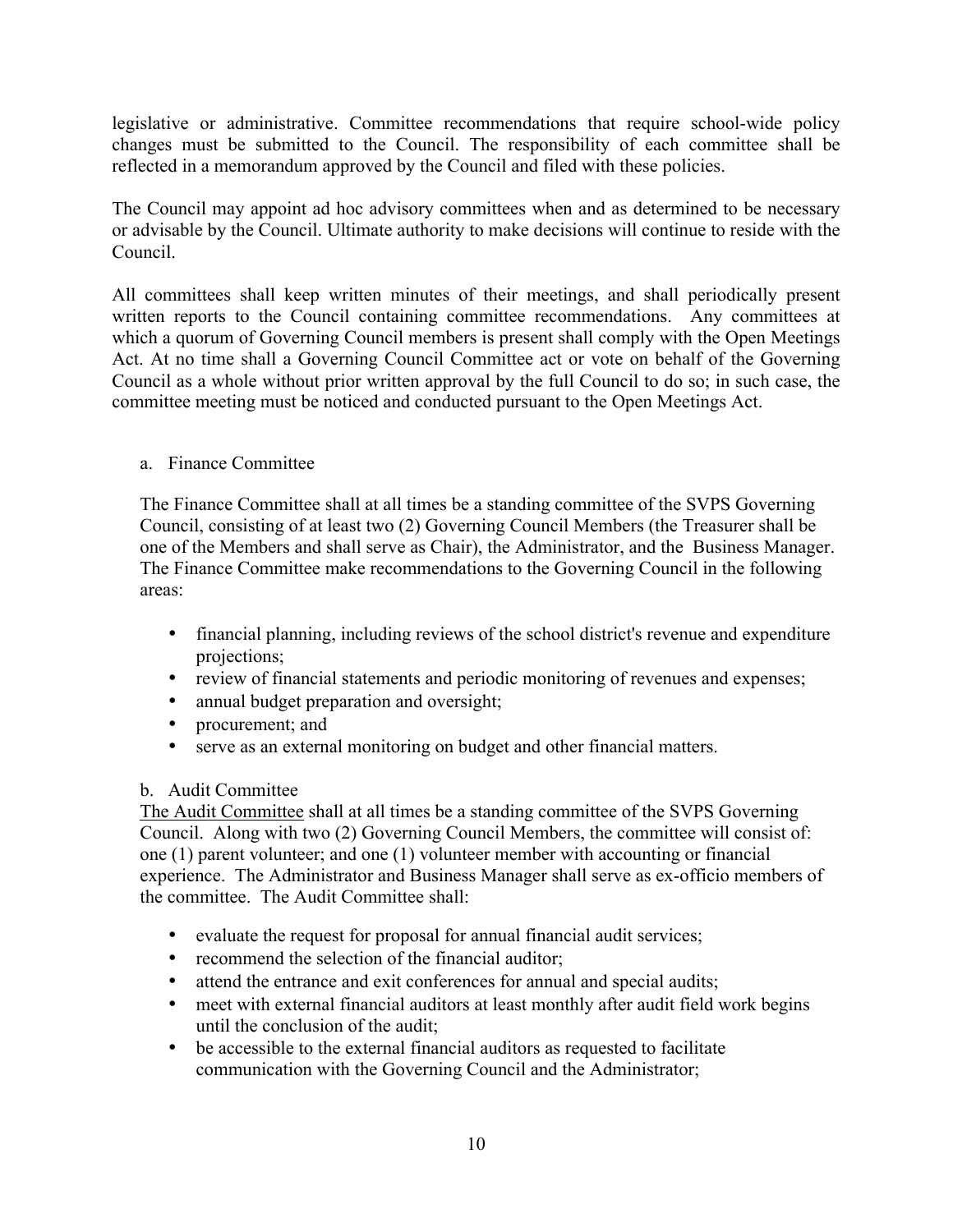legislative or administrative. Committee recommendations that require school-wide policy changes must be submitted to the Council. The responsibility of each committee shall be reflected in a memorandum approved by the Council and filed with these policies.

The Council may appoint ad hoc advisory committees when and as determined to be necessary or advisable by the Council. Ultimate authority to make decisions will continue to reside with the Council.

All committees shall keep written minutes of their meetings, and shall periodically present written reports to the Council containing committee recommendations. Any committees at which a quorum of Governing Council members is present shall comply with the Open Meetings Act. At no time shall a Governing Council Committee act or vote on behalf of the Governing Council as a whole without prior written approval by the full Council to do so; in such case, the committee meeting must be noticed and conducted pursuant to the Open Meetings Act.

## a. Finance Committee

The Finance Committee shall at all times be a standing committee of the SVPS Governing Council, consisting of at least two (2) Governing Council Members (the Treasurer shall be one of the Members and shall serve as Chair), the Administrator, and the Business Manager. The Finance Committee make recommendations to the Governing Council in the following areas:

- financial planning, including reviews of the school district's revenue and expenditure projections;
- review of financial statements and periodic monitoring of revenues and expenses;
- annual budget preparation and oversight;
- procurement; and
- serve as an external monitoring on budget and other financial matters.

## b. Audit Committee

The Audit Committee shall at all times be a standing committee of the SVPS Governing Council. Along with two (2) Governing Council Members, the committee will consist of: one (1) parent volunteer; and one (1) volunteer member with accounting or financial experience. The Administrator and Business Manager shall serve as ex-officio members of the committee. The Audit Committee shall:

- evaluate the request for proposal for annual financial audit services;
- recommend the selection of the financial auditor;
- attend the entrance and exit conferences for annual and special audits;
- meet with external financial auditors at least monthly after audit field work begins until the conclusion of the audit;
- be accessible to the external financial auditors as requested to facilitate communication with the Governing Council and the Administrator;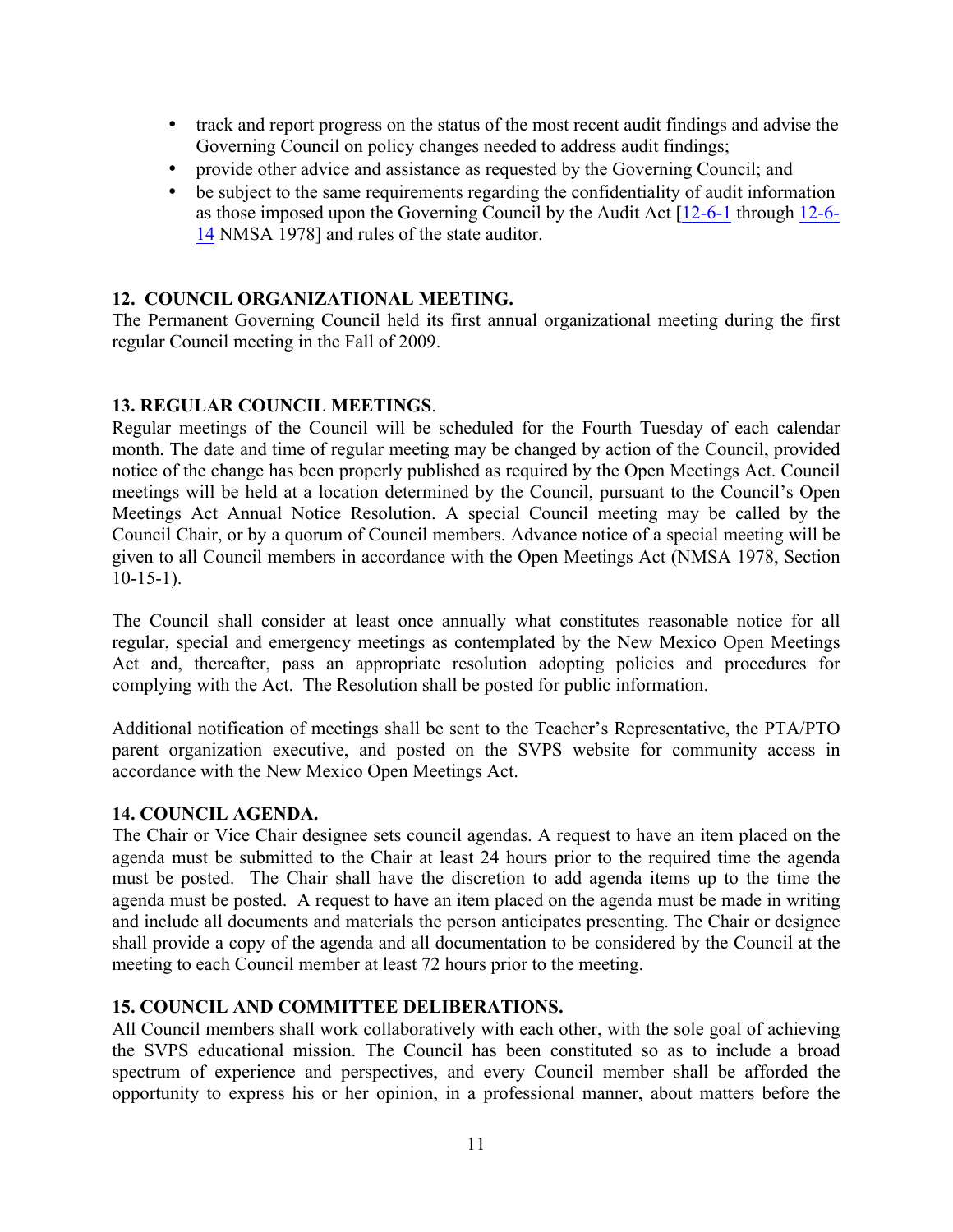- track and report progress on the status of the most recent audit findings and advise the Governing Council on policy changes needed to address audit findings;
- provide other advice and assistance as requested by the Governing Council; and
- be subject to the same requirements regarding the confidentiality of audit information as those imposed upon the Governing Council by the Audit Act [12-6-1 through 12-6- 14 NMSA 1978] and rules of the state auditor.

# **12. COUNCIL ORGANIZATIONAL MEETING.**

The Permanent Governing Council held its first annual organizational meeting during the first regular Council meeting in the Fall of 2009.

## **13. REGULAR COUNCIL MEETINGS**.

Regular meetings of the Council will be scheduled for the Fourth Tuesday of each calendar month. The date and time of regular meeting may be changed by action of the Council, provided notice of the change has been properly published as required by the Open Meetings Act. Council meetings will be held at a location determined by the Council, pursuant to the Council's Open Meetings Act Annual Notice Resolution. A special Council meeting may be called by the Council Chair, or by a quorum of Council members. Advance notice of a special meeting will be given to all Council members in accordance with the Open Meetings Act (NMSA 1978, Section  $10-15-1$ ).

The Council shall consider at least once annually what constitutes reasonable notice for all regular, special and emergency meetings as contemplated by the New Mexico Open Meetings Act and, thereafter, pass an appropriate resolution adopting policies and procedures for complying with the Act. The Resolution shall be posted for public information.

Additional notification of meetings shall be sent to the Teacher's Representative, the PTA/PTO parent organization executive, and posted on the SVPS website for community access in accordance with the New Mexico Open Meetings Act.

## **14. COUNCIL AGENDA.**

The Chair or Vice Chair designee sets council agendas. A request to have an item placed on the agenda must be submitted to the Chair at least 24 hours prior to the required time the agenda must be posted. The Chair shall have the discretion to add agenda items up to the time the agenda must be posted. A request to have an item placed on the agenda must be made in writing and include all documents and materials the person anticipates presenting. The Chair or designee shall provide a copy of the agenda and all documentation to be considered by the Council at the meeting to each Council member at least 72 hours prior to the meeting.

## **15. COUNCIL AND COMMITTEE DELIBERATIONS.**

All Council members shall work collaboratively with each other, with the sole goal of achieving the SVPS educational mission. The Council has been constituted so as to include a broad spectrum of experience and perspectives, and every Council member shall be afforded the opportunity to express his or her opinion, in a professional manner, about matters before the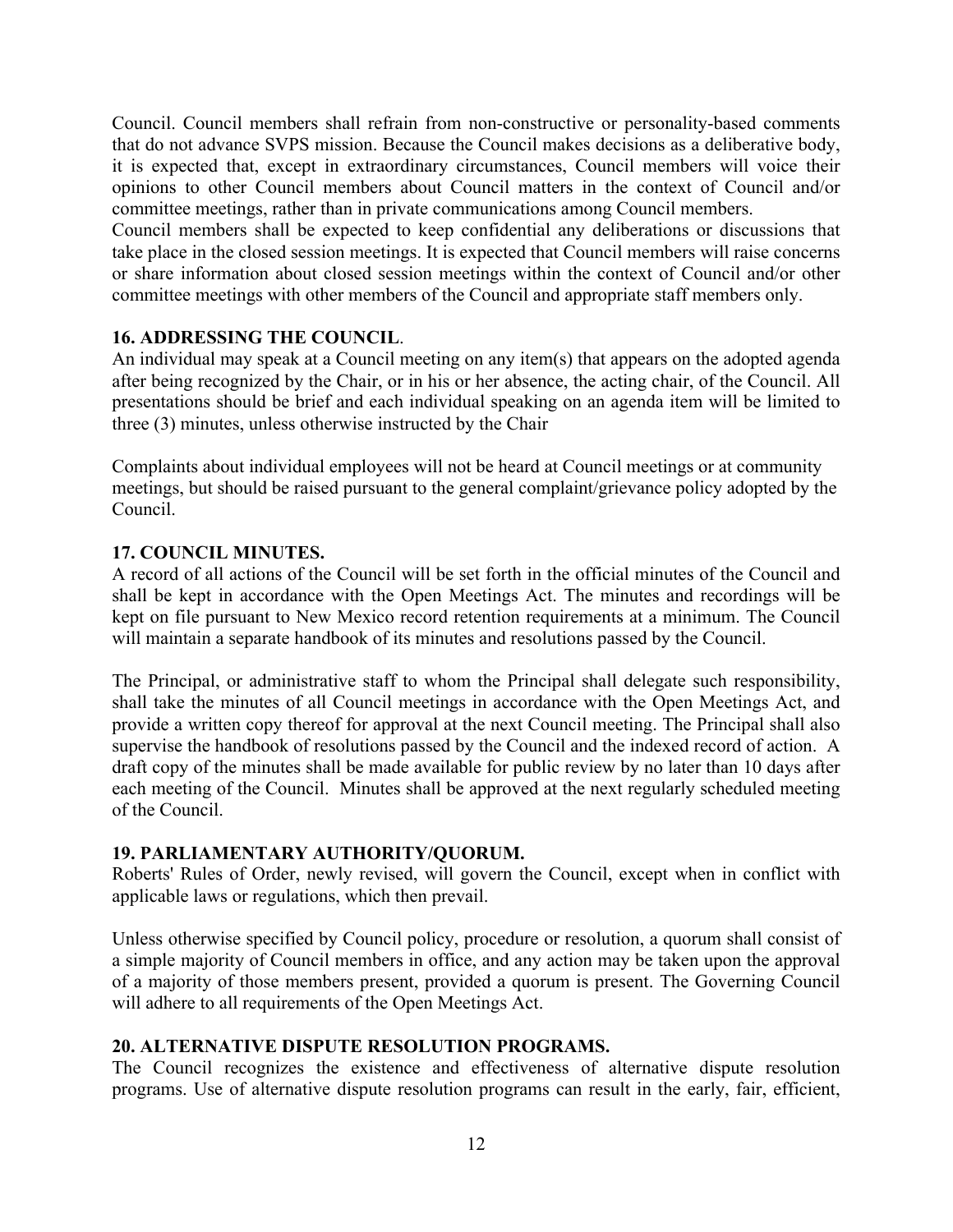Council. Council members shall refrain from non-constructive or personality-based comments that do not advance SVPS mission. Because the Council makes decisions as a deliberative body, it is expected that, except in extraordinary circumstances, Council members will voice their opinions to other Council members about Council matters in the context of Council and/or committee meetings, rather than in private communications among Council members.

Council members shall be expected to keep confidential any deliberations or discussions that take place in the closed session meetings. It is expected that Council members will raise concerns or share information about closed session meetings within the context of Council and/or other committee meetings with other members of the Council and appropriate staff members only.

## **16. ADDRESSING THE COUNCIL**.

An individual may speak at a Council meeting on any item(s) that appears on the adopted agenda after being recognized by the Chair, or in his or her absence, the acting chair, of the Council. All presentations should be brief and each individual speaking on an agenda item will be limited to three (3) minutes, unless otherwise instructed by the Chair

Complaints about individual employees will not be heard at Council meetings or at community meetings, but should be raised pursuant to the general complaint/grievance policy adopted by the Council.

# **17. COUNCIL MINUTES.**

A record of all actions of the Council will be set forth in the official minutes of the Council and shall be kept in accordance with the Open Meetings Act. The minutes and recordings will be kept on file pursuant to New Mexico record retention requirements at a minimum. The Council will maintain a separate handbook of its minutes and resolutions passed by the Council.

The Principal, or administrative staff to whom the Principal shall delegate such responsibility, shall take the minutes of all Council meetings in accordance with the Open Meetings Act, and provide a written copy thereof for approval at the next Council meeting. The Principal shall also supervise the handbook of resolutions passed by the Council and the indexed record of action. A draft copy of the minutes shall be made available for public review by no later than 10 days after each meeting of the Council. Minutes shall be approved at the next regularly scheduled meeting of the Council.

## **19. PARLIAMENTARY AUTHORITY/QUORUM.**

Roberts' Rules of Order, newly revised, will govern the Council, except when in conflict with applicable laws or regulations, which then prevail.

Unless otherwise specified by Council policy, procedure or resolution, a quorum shall consist of a simple majority of Council members in office, and any action may be taken upon the approval of a majority of those members present, provided a quorum is present. The Governing Council will adhere to all requirements of the Open Meetings Act.

# **20. ALTERNATIVE DISPUTE RESOLUTION PROGRAMS.**

The Council recognizes the existence and effectiveness of alternative dispute resolution programs. Use of alternative dispute resolution programs can result in the early, fair, efficient,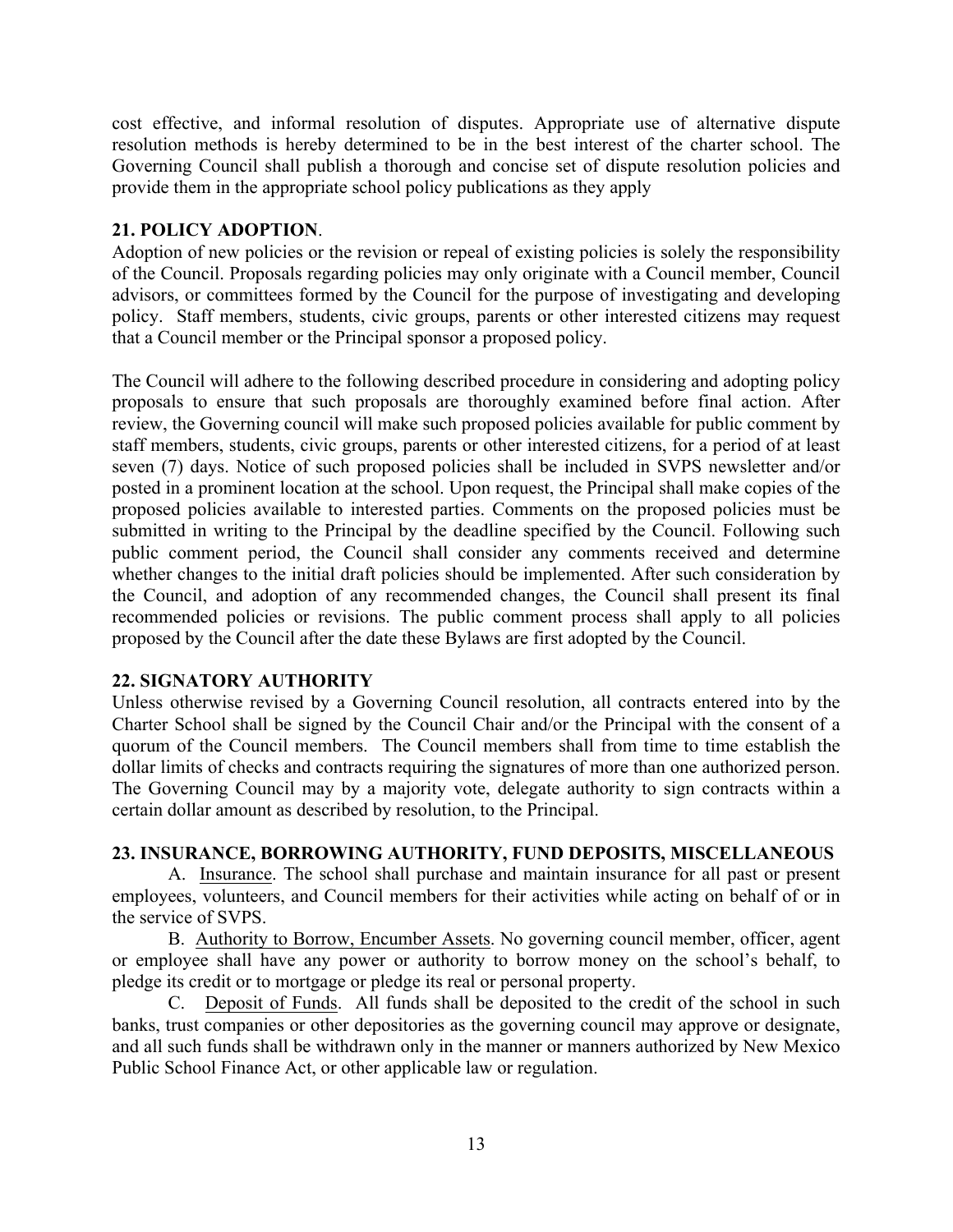cost effective, and informal resolution of disputes. Appropriate use of alternative dispute resolution methods is hereby determined to be in the best interest of the charter school. The Governing Council shall publish a thorough and concise set of dispute resolution policies and provide them in the appropriate school policy publications as they apply

## **21. POLICY ADOPTION**.

Adoption of new policies or the revision or repeal of existing policies is solely the responsibility of the Council. Proposals regarding policies may only originate with a Council member, Council advisors, or committees formed by the Council for the purpose of investigating and developing policy. Staff members, students, civic groups, parents or other interested citizens may request that a Council member or the Principal sponsor a proposed policy.

The Council will adhere to the following described procedure in considering and adopting policy proposals to ensure that such proposals are thoroughly examined before final action. After review, the Governing council will make such proposed policies available for public comment by staff members, students, civic groups, parents or other interested citizens, for a period of at least seven (7) days. Notice of such proposed policies shall be included in SVPS newsletter and/or posted in a prominent location at the school. Upon request, the Principal shall make copies of the proposed policies available to interested parties. Comments on the proposed policies must be submitted in writing to the Principal by the deadline specified by the Council. Following such public comment period, the Council shall consider any comments received and determine whether changes to the initial draft policies should be implemented. After such consideration by the Council, and adoption of any recommended changes, the Council shall present its final recommended policies or revisions. The public comment process shall apply to all policies proposed by the Council after the date these Bylaws are first adopted by the Council.

#### **22. SIGNATORY AUTHORITY**

Unless otherwise revised by a Governing Council resolution, all contracts entered into by the Charter School shall be signed by the Council Chair and/or the Principal with the consent of a quorum of the Council members. The Council members shall from time to time establish the dollar limits of checks and contracts requiring the signatures of more than one authorized person. The Governing Council may by a majority vote, delegate authority to sign contracts within a certain dollar amount as described by resolution, to the Principal.

## **23. INSURANCE, BORROWING AUTHORITY, FUND DEPOSITS, MISCELLANEOUS**

A. Insurance. The school shall purchase and maintain insurance for all past or present employees, volunteers, and Council members for their activities while acting on behalf of or in the service of SVPS.

B. Authority to Borrow, Encumber Assets. No governing council member, officer, agent or employee shall have any power or authority to borrow money on the school's behalf, to pledge its credit or to mortgage or pledge its real or personal property.

C. Deposit of Funds. All funds shall be deposited to the credit of the school in such banks, trust companies or other depositories as the governing council may approve or designate, and all such funds shall be withdrawn only in the manner or manners authorized by New Mexico Public School Finance Act, or other applicable law or regulation.